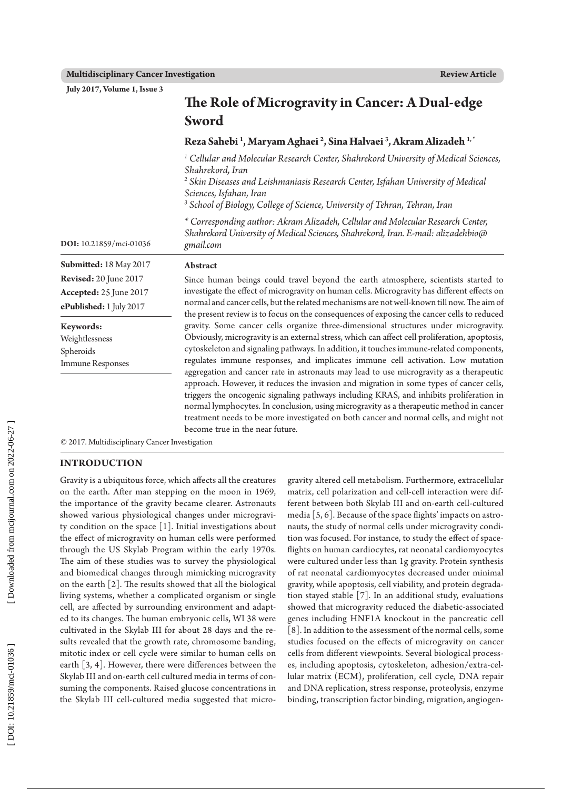**July 2017, Volume 1, Issue 3**

|                                                   | Sword                                                                                                                                                                                                                                                                                                                                                                                                                                                                                                                                                 |  |  |  |  |
|---------------------------------------------------|-------------------------------------------------------------------------------------------------------------------------------------------------------------------------------------------------------------------------------------------------------------------------------------------------------------------------------------------------------------------------------------------------------------------------------------------------------------------------------------------------------------------------------------------------------|--|--|--|--|
|                                                   | Reza Sahebi <sup>1</sup> , Maryam Aghaei <sup>2</sup> , Sina Halvaei <sup>3</sup> , Akram Alizadeh <sup>1,*</sup>                                                                                                                                                                                                                                                                                                                                                                                                                                     |  |  |  |  |
|                                                   | <sup>1</sup> Cellular and Molecular Research Center, Shahrekord University of Medical Sciences,<br>Shahrekord, Iran<br><sup>2</sup> Skin Diseases and Leishmaniasis Research Center, Isfahan University of Medical<br>Sciences, Isfahan, Iran<br><sup>3</sup> School of Biology, College of Science, University of Tehran, Tehran, Iran                                                                                                                                                                                                               |  |  |  |  |
| DOI: 10.21859/mci-01036                           | * Corresponding author: Akram Alizadeh, Cellular and Molecular Research Center,<br>Shahrekord University of Medical Sciences, Shahrekord, Iran. E-mail: alizadehbio@<br>gmail.com                                                                                                                                                                                                                                                                                                                                                                     |  |  |  |  |
| Submitted: 18 May 2017                            | Abstract                                                                                                                                                                                                                                                                                                                                                                                                                                                                                                                                              |  |  |  |  |
| <b>Revised:</b> 20 June 2017                      | Since human beings could travel beyond the earth atmosphere, scientists started to                                                                                                                                                                                                                                                                                                                                                                                                                                                                    |  |  |  |  |
| Accepted: 25 June 2017<br>ePublished: 1 July 2017 | investigate the effect of microgravity on human cells. Microgravity has different effects on<br>normal and cancer cells, but the related mechanisms are not well-known till now. The aim of<br>the present review is to focus on the consequences of exposing the cancer cells to reduced                                                                                                                                                                                                                                                             |  |  |  |  |
| Keywords:                                         | gravity. Some cancer cells organize three-dimensional structures under microgravity.                                                                                                                                                                                                                                                                                                                                                                                                                                                                  |  |  |  |  |
| Weightlessness                                    | Obviously, microgravity is an external stress, which can affect cell proliferation, apoptosis,                                                                                                                                                                                                                                                                                                                                                                                                                                                        |  |  |  |  |
| Spheroids                                         | cytoskeleton and signaling pathways. In addition, it touches immune-related components,                                                                                                                                                                                                                                                                                                                                                                                                                                                               |  |  |  |  |
| <b>Immune Responses</b>                           | regulates immune responses, and implicates immune cell activation. Low mutation<br>aggregation and cancer rate in astronauts may lead to use microgravity as a therapeutic<br>approach. However, it reduces the invasion and migration in some types of cancer cells,<br>triggers the oncogenic signaling pathways including KRAS, and inhibits proliferation in<br>normal lymphocytes. In conclusion, using microgravity as a therapeutic method in cancer<br>treatment needs to be more investigated on both cancer and normal cells, and might not |  |  |  |  |

**The Role of Microgravity in Cancer: A Dual-edge** 

© 2017. Multidisciplinary Cancer Investigation

### **INTRODUCTION**

Gravity is a ubiquitous force, which affects all the creatures on the earth. After man stepping on the moon in 1969, the importance of the gravity became clearer. Astronauts showed various physiological changes under microgravi ty condition on the space [1]. Initial investigations about the effect of microgravity on human cells were performed through the US Skylab Program within the early 1970s. The aim of these studies was to survey the physiological and biomedical changes through mimicking microgravity on the earth [2]. The results showed that all the biological living systems, whether a complicated organism or single cell, are affected by surrounding environment and adapt ed to its changes. The human embryonic cells, WI 38 were cultivated in the Skylab III for about 28 days and the re sults revealed that the growth rate, chromosome banding, mitotic index or cell cycle were similar to human cells on earth [3, 4]. However, there were differences between the Skylab III and on-earth cell cultured media in terms of con suming the components. Raised glucose concentrations in the Skylab III cell-cultured media suggested that micro -

gravity altered cell metabolism. Furthermore, extracellular matrix, cell polarization and cell-cell interaction were different between both Skylab III and on-earth cell-cultured media [5, 6]. Because of the space flights' impacts on astro nauts, the study of normal cells under microgravity condi tion was focused. For instance, to study the effect of space flights on human cardiocytes, rat neonatal cardiomyocytes were cultured under less than 1g gravity. Protein synthesis of rat neonatal cardiomyocytes decreased under minimal gravity, while apoptosis, cell viability, and protein degrada tion stayed stable [7]. In an additional study, evaluations showed that microgravity reduced the diabetic-associated genes including HNF1A knockout in the pancreatic cell [8]. In addition to the assessment of the normal cells, some studies focused on the effects of microgravity on cancer cells from different viewpoints. Several biological process es, including apoptosis, cytoskeleton, adhesion/extra-cel lular matrix (ECM), proliferation, cell cycle, DNA repair and DNA replication, stress response, proteolysis, enzyme binding, transcription factor binding, migration, angiogen -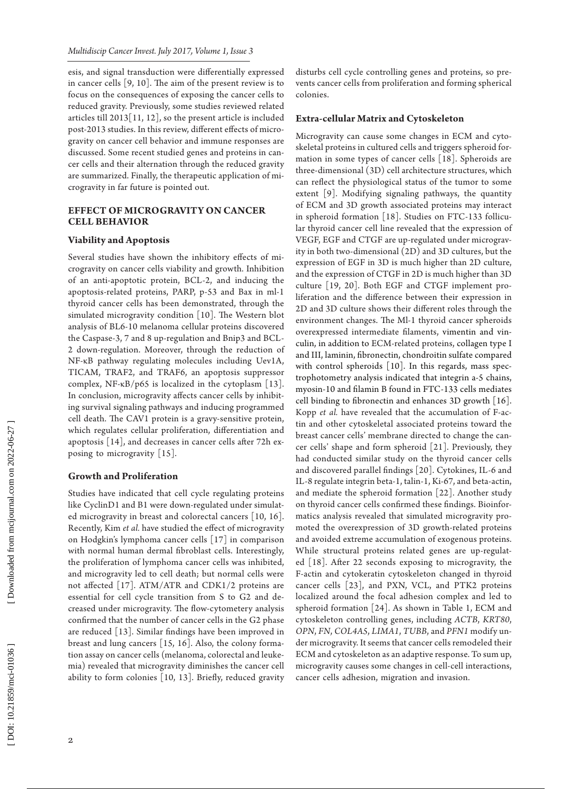esis, and signal transduction were differentially expressed in cancer cells [9, 10]. The aim of the present review is to focus on the consequences of exposing the cancer cells to reduced gravity. Previously, some studies reviewed related articles till 2013[11, 12], so the present article is included post-2013 studies. In this review, different effects of micro gravity on cancer cell behavior and immune responses are discussed. Some recent studied genes and proteins in can cer cells and their alternation through the reduced gravity are summarized. Finally, the therapeutic application of mi crogravity in far future is pointed out.

# **EFFECT OF MICROGRAVITY ON CA CELL BE**

### **Viability and Apoptosis**

Several studies have shown the inhibitory effects of mi crogravity on cancer cells viability and growth. Inhibition of an anti-apoptotic protein, BCL-2, and inducing the apoptosis-related proteins, PARP, p-53 and Bax in ml-1 thyroid cancer cells has been demonstrated, through the simulated microgravity condition [10]. The Western blot analysis of BL6-10 melanoma cellular proteins discovered the Caspase-3, 7 and 8 up-regulation and Bnip3 and BCL-2 down-regulation. Moreover, through the reduction of NF-κB pathway regulating molecules including Uev1A, TICAM, TRAF2, and TRAF6, an apoptosis suppressor complex, NF-κB/p65 is localized in the cytoplasm [13]. In conclusion, microgravity affects cancer cells by inhibit ing survival signaling pathways and inducing programmed cell death. The CAV1 protein is a gravy-sensitive protein, which regulates cellular proliferation, differentiation and apoptosis [14], and decreases in cancer cells after 72h ex posing to microgravity [15].

### **Growth and Proliferation**

Studies have indicated that cell cycle regulating proteins like CyclinD1 and B1 were down-regulated under simulat ed microgravity in breast and colorectal cancers [10, 16]. Recently, Kim *et al.* have studied the effect of microgravity on Hodgkin's lymphoma cancer cells [17] in comparison with normal human dermal fibroblast cells. Interestingly, the proliferation of lymphoma cancer cells was inhibited, and microgravity led to cell death; but normal cells were not affected [17]. ATM/ATR and CDK1/2 proteins are essential for cell cycle transition from S to G2 and de creased under microgravity. The flow-cytometery analysis confirmed that the number of cancer cells in the G2 phase are reduced [13]. Similar findings have been improved in breast and lung cancers [15, 16]. Also, the colony forma tion assay on cancer cells (melanoma, colorectal and leuke mia) revealed that microgravity diminishes the cancer cell ability to form colonies [10, 13]. Briefly, reduced gravity disturbs cell cycle controlling genes and proteins, so pre vents cancer cells from proliferation and forming spherical colonies.

# **Extra-cellular Matrix and Cytoskeleton**

Microgravity can cause some changes in ECM and cyto skeletal proteins in cultured cells and triggers spheroid for mation in some types of cancer cells [18]. Spheroids are three-dimensional (3D) cell architecture structures, which can reflect the physiological status of the tumor to some extent [9]. Modifying signaling pathways, the quantity of ECM and 3D growth associated proteins may interact in spheroid formation [18]. Studies on FTC-133 follicu lar thyroid cancer cell line revealed that the expression of VEGF, EGF and CTGF are up-regulated under micrograv ity in both two-dimensional (2D) and 3D cultures, but the expression of EGF in 3D is much higher than 2D culture, and the expression of CTGF in 2D is much higher than 3D culture [19, 20]. Both EGF and CTGF implement pro liferation and the difference between their expression in 2D and 3D culture shows their different roles through the environment changes. The Ml-1 thyroid cancer spheroids overexpressed intermediate filaments, vimentin and vin culin, in addition to ECM-related proteins, collagen type I and III, laminin, fibronectin, chondroitin sulfate compared with control spheroids [10]. In this regards, mass spec trophotometry analysis indicated that integrin a-5 chains, myosin-10 and filamin B found in FTC-133 cells mediates cell binding to fibronectin and enhances 3D growth [16]. Kopp *et al.* have revealed that the accumulation of F-ac tin and other cytoskeletal associated proteins toward the breast cancer cells' membrane directed to change the can cer cells' shape and form spheroid [21]. Previously, they had conducted similar study on the thyroid cancer cells and discovered parallel findings [20]. Cytokines, IL-6 and IL-8 regulate integrin beta-1, talin-1, Ki-67, and beta-actin, and mediate the spheroid formation [22]. Another study on thyroid cancer cells confirmed these findings. Bioinfor matics analysis revealed that simulated microgravity pro moted the overexpression of 3D growth-related proteins and avoided extreme accumulation of exogenous proteins. While structural proteins related genes are up-regulat ed [18]. After 22 seconds exposing to microgravity, the F-actin and cytokeratin cytoskeleton changed in thyroid cancer cells [23], and PXN, VCL, and PTK2 proteins localized around the focal adhesion complex and led to spheroid formation [24]. As shown in Table 1, ECM and cytoskeleton controlling genes, including *ACTB*, *KRT80*, *OPN*, *FN*, *COL4A5*, *LIMA1*, *TUBB*, and *PFN1* modify un der microgravity. It seems that cancer cells remodeled their ECM and cytoskeleton as an adaptive response. To sum up, microgravity causes some changes in cell-cell interactions, cancer cells adhesion, migration and invasion.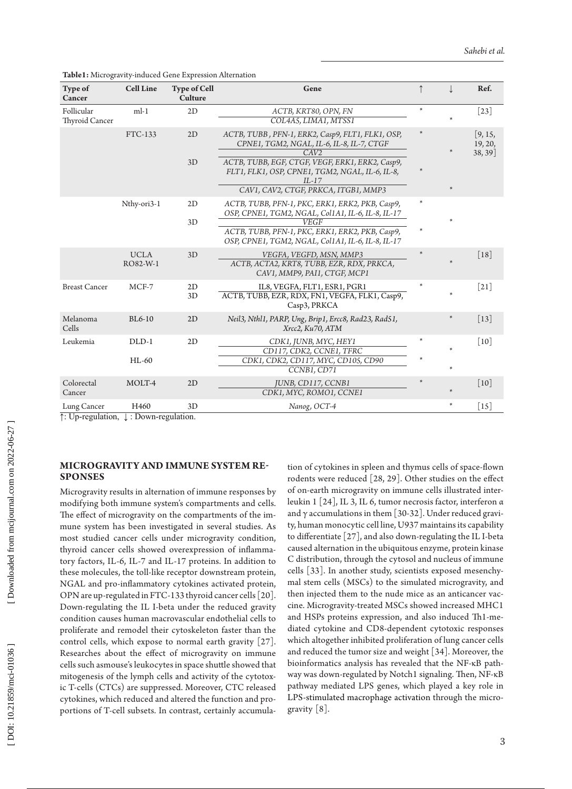**Table1:** Microgravity-induced Gene Expression Alternation

| Type of<br>Cancer            | <b>Cell Line</b>        | <b>Type of Cell</b><br><b>Culture</b> | Gene                                                                                                                                                                                                                                                           |                  |        | Ref.                             |
|------------------------------|-------------------------|---------------------------------------|----------------------------------------------------------------------------------------------------------------------------------------------------------------------------------------------------------------------------------------------------------------|------------------|--------|----------------------------------|
| Follicular<br>Thyroid Cancer | $ml-1$                  | 2D                                    | ACTB, KRT80, OPN, FN<br>COL4A5, LIMA1, MTSS1                                                                                                                                                                                                                   | $\ast$           |        | $\lceil 23 \rceil$               |
|                              | FTC-133                 | 2D<br>3D                              | ACTB, TUBB, PFN-1, ERK2, Casp9, FLT1, FLK1, OSP,<br>CPNE1, TGM2, NGAL, IL-6, IL-8, IL-7, CTGF<br>CAV2<br>ACTB, TUBB, EGF, CTGF, VEGF, ERK1, ERK2, Casp9,<br>FLT1, FLK1, OSP, CPNE1, TGM2, NGAL, IL-6, IL-8,<br>$IL-17$<br>CAV1, CAV2, CTGF, PRKCA, ITGB1, MMP3 |                  | $\ast$ | [9, 15,<br>19, 20,<br>$38, 39$ ] |
|                              | Nthy-ori3-1             | 2D<br>3D                              | ACTB, TUBB, PFN-1, PKC, ERK1, ERK2, PKB, Casp9,<br>OSP, CPNE1, TGM2, NGAL, Col1A1, IL-6, IL-8, IL-17<br><b>VEGF</b><br>ACTB, TUBB, PFN-1, PKC, ERK1, ERK2, PKB, Casp9,<br>OSP, CPNE1, TGM2, NGAL, Col1A1, IL-6, IL-8, IL-17                                    | $\ast$<br>$\ast$ |        |                                  |
|                              | <b>UCLA</b><br>RO82-W-1 | 3D                                    | VEGFA, VEGFD, MSN, MMP3<br>ACTB, ACTA2, KRT8, TUBB, EZR, RDX, PRKCA,<br>CAV1, MMP9, PAI1, CTGF, MCP1                                                                                                                                                           | $\ast$           |        | $\lceil 18 \rceil$               |
| <b>Breast Cancer</b>         | MCF-7                   | 2D<br>3D                              | IL8, VEGFA, FLT1, ESR1, PGR1<br>ACTB, TUBB, EZR, RDX, FN1, VEGFA, FLK1, Casp9,<br>Casp3, PRKCA                                                                                                                                                                 |                  |        | $[21]$                           |
| Melanoma<br>Cells            | <b>BL6-10</b>           | 2D                                    | Neil3, Nthl1, PARP, Ung, Brip1, Ercc8, Rad23, Rad51,<br>Xrcc2, Ku70, ATM                                                                                                                                                                                       |                  |        | $[13]$                           |
| Leukemia                     | DLD-1<br>HL-60          | 2D                                    | CDK1, JUNB, MYC, HEY1<br>CD117, CDK2, CCNE1, TFRC<br>CDK1, CDK2, CD117, MYC, CD105, CD90<br>CCNB1, CD71                                                                                                                                                        | $\ast$           | $\ast$ | $\lceil 10 \rceil$               |
| Colorectal<br>Cancer         | MOLT-4                  | 2D                                    | JUNB, CD117, CCNB1<br>CDK1, MYC, ROMO1, CCNE1                                                                                                                                                                                                                  |                  |        | $\lceil 10 \rceil$               |
| Lung Cancer                  | H460                    | 3D                                    | Nanog, OCT-4                                                                                                                                                                                                                                                   |                  | $\ast$ | $[15]$                           |

↑: Up-regulation, ↓ : Down-regulation.

# **Microgravity and Immune System Re sponses**

Microgravity results in alternation of immune responses by modifying both immune system's compartments and cells. The effect of microgravity on the compartments of the im mune system has been investigated in several studies. As most studied cancer cells under microgravity condition, thyroid cancer cells showed overexpression of inflamma tory factors, IL-6, IL-7 and IL-17 proteins. In addition to these molecules, the toll-like receptor downstream protein, NGAL and pro-inflammatory cytokines activated protein, OPN are up-regulated in FTC-133 thyroid cancer cells [20]. Down-regulating the IL I-beta under the reduced gravity condition causes human macrovascular endothelial cells to proliferate and remodel their cytoskeleton faster than the control cells, which expose to normal earth gravity [27]. Researches about the effect of microgravity on immune cells such asmouse's leukocytes in space shuttle showed that mitogenesis of the lymph cells and activity of the cytotox ic T-cells (CTCs) are suppressed. Moreover, CTC released cytokines, which reduced and altered the function and pro portions of T-cell subsets. In contrast, certainly accumula -

tion of cytokines in spleen and thymus cells of space-flown rodents were reduced [28, 29]. Other studies on the effect of on-earth microgravity on immune cells illustrated inter leukin 1 [24], IL 3, IL 6, tumor necrosis factor, interferon α and  $\gamma$  accumulations in them [30-32]. Under reduced gravity, human monocytic cell line, U937 maintains its capability to differentiate [27], and also down-regulating the IL I-beta caused alternation in the ubiquitous enzyme, protein kinase C distribution, through the cytosol and nucleus of immune cells [33]. In another study, scientists exposed mesenchy mal stem cells (MSCs) to the simulated microgravity, and then injected them to the nude mice as an anticancer vac cine. Microgravity-treated MSCs showed increased MHC1 and HSPs proteins expression, and also induced Th1-me diated cytokine and CD8-dependent cytotoxic responses which altogether inhibited proliferation of lung cancer cells and reduced the tumor size and weight [34]. Moreover, the bioinformatics analysis has revealed that the NF-κB path way was down-regulated by Notch1 signaling. Then, NF-κB pathway mediated LPS genes, which played a key role in LPS-stimulated macrophage activation through the micro gravity [8].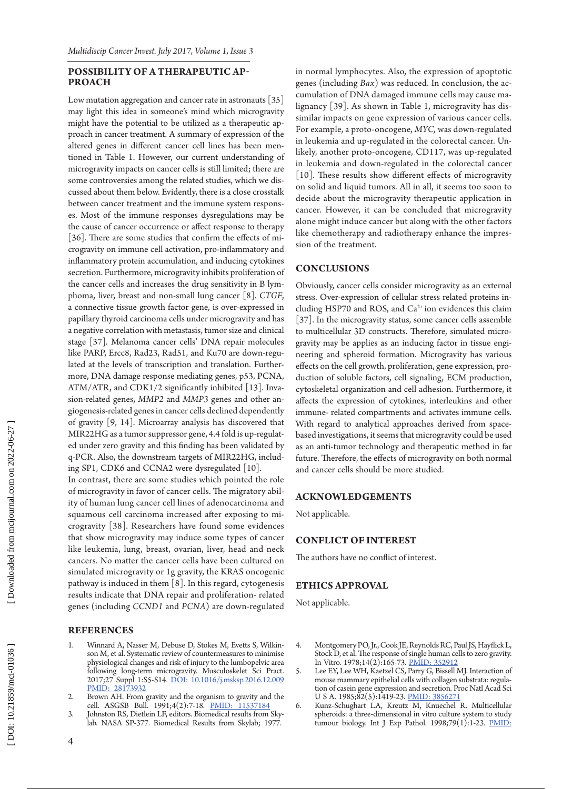#### LITY OF A THERAPEUTIC AP**proach**

**PP** Lona mig production is on better the conduction of the photon and production of the photon and production of the photon in the conduction of the photon in the conduction of the photon in the case of the case of the ca Low mutation aggregation and cancer rate in astronauts [35] may light this idea in someone's mind which microgravity might have the potential to be utilized as a therapeutic ap proach in cancer treatment. A summary of expression of the altered genes in different cancer cell lines has been men tioned in Table 1. However, our current understanding of microgravity impacts on cancer cells is still limited; there are some controversies among the related studies, which we dis cussed about them below. Evidently, there is a close crosstalk between cancer treatment and the immune system respons es. Most of the immune responses dysregulations may be the cause of cancer occurrence or affect response to therapy [36]. There are some studies that confirm the effects of microgravity on immune cell activation, pro-inflammatory and inflammatory protein accumulation, and inducing cytokines secretion. Furthermore, microgravity inhibits proliferation of the cancer cells and increases the drug sensitivity in B lym phoma, liver, breast and non-small lung cancer [8]. *CTGF*, a connective tissue growth factor gene*,* is over-expressed in papillary thyroid carcinoma cells under microgravity and has a negative correlation with metastasis, tumor size and clinical stage [37]. Melanoma cancer cells' DNA repair molecules like PARP, Ercc8, Rad23, Rad51, and Ku70 are down-regu lated at the levels of transcription and translation. Further more, DNA damage response mediating genes, p53, PCNA, ATM/ATR, and CDK1/2 significantly inhibited [13]. Inva sion-related genes, *MMP2* and *MMP3* genes and other an giogenesis-related genes in cancer cells declined dependently of gravity [9, 14]. Microarray analysis has discovered that MIR22HG as a tumor suppressor gene, 4.4 fold is up-regulat ed under zero gravity and this finding has been validated by q-PCR. Also, the downstream targets of MIR22HG, includ ing SP1, CDK6 and CCNA2 were dysregulated [10].

In contrast, there are some studies which pointed the role of microgravity in favor of cancer cells. The migratory abil ity of human lung cancer cell lines of adenocarcinoma and squamous cell carcinoma increased after exposing to mi crogravity [38]. Researchers have found some evidences that show microgravity may induce some types of cancer like leukemia, lung, breast, ovarian, liver, head and neck cancers. No matter the cancer cells have been cultured on simulated microgravity or 1g gravity, the KRAS oncogenic pathway is induced in them [8]. In this regard, cytogenesis results indicate that DNA repair and proliferation- related genes (including *CCND1* and *PCNA*) are down-regulated

# **Re ferences**

- 1. Winnard A, Nasser M, Debuse D, Stokes M, Evetts S, Wilkin son M, et al. Systematic review of countermeasures to minimise physiological changes and risk of injury to the lumbopelvic area following long-term microgravity. Musculoskelet Sci Pract. 2017;27 Suppl 1:S5-S14. [DOI: 10.1016/j.msksp.2016.12.009](http://dx.doi.org/10.1016/j.msksp.2016.12.009) [PMID: 28173932](http://www.ncbi.nlm.nih.gov/pubmed/28173932)
- 2. Brown AH. From gravity and the organism to gravity and the cell. ASGSB Bull. 1991;4(2):7-18. [PMID: 11537184](http://www.ncbi.nlm.nih.gov/pubmed/11537184)
- 3. Johnston RS, Dietlein LF, editors. Biomedical results from Skylab. NASA SP-377. Biomedical Results from Skylab; 1977.

in normal lymphocytes. Also, the expression of apoptotic genes (including *Bax*) was reduced. In conclusion, the ac cumulation of DNA damaged immune cells may cause ma lignancy [39]. As shown in Table 1, microgravity has dis similar impacts on gene expression of various cancer cells. For example, a proto-oncogene, *MYC,* was down-regulated in leukemia and up-regulated in the colorectal cancer. Un likely, another proto-oncogene, CD117, was up-regulated in leukemia and down-regulated in the colorectal cancer [10]. These results show different effects of microgravity on solid and liquid tumors. All in all, it seems too soon to decide about the microgravity therapeutic application in cancer. However, it can be concluded that microgravity alone might induce cancer but along with the other factors like chemotherapy and radiotherapy enhance the impres sion of the treatment.

# **CONC LUSIONS**

Obviously, cancer cells consider microgravity as an external stress. Over-expression of cellular stress related proteins in cluding HSP70 and ROS, and Ca<sup>2+</sup> ion evidences this claim [37]. In the microgravity status, some cancer cells assemble to multicellular 3D constructs. Therefore, simulated micro gravity may be applies as an inducing factor in tissue engi neering and spheroid formation. Microgravity has various effects on the cell growth, proliferation, gene expression, pro duction of soluble factors, cell signaling, ECM production, cytoskeletal organization and cell adhesion. Furthermore, it affects the expression of cytokines, interleukins and other immune- related compartments and activates immune cells. With regard to analytical approaches derived from spacebased investigations, it seems that microgravity could be used as an anti-tumor technology and therapeutic method in far future. Therefore, the effects of microgravity on both normal and cancer cells should be more studied.

## **ACKNOWLED GEMENTS**

Not applicable.

## **CONFLICT O F INTEREST**

The authors have no conflict of interest.

#### **Ethics Approval**

Not applicable.

- 4. Montgomery PO, Jr., Cook JE, Reynolds RC, Paul JS, Hayflick L, Stock D, et al. The response of single human cells to zero gravity. In Vitro. 1978;14(2):165-73. [PMID: 352912](http://www.ncbi.nlm.nih.gov/pubmed/352912)
- 5. Lee EY, Lee WH, Kaetzel CS, Parry G, Bissell MJ. Interaction of mouse mammary epithelial cells with collagen substrata: regula tion of casein gene expression and secretion. Proc Natl Acad Sci U S A. 1985;82(5):1419-23. [PMID: 3856271](http://www.ncbi.nlm.nih.gov/pubmed/3856271)
- 6. Kunz-Schughart LA, Kreutz M, Knuechel R. Multicellular spheroids: a three-dimensional in vitro culture system to study tumour biology. Int J Exp Pathol. 1998;79(1):1-23. PMID: